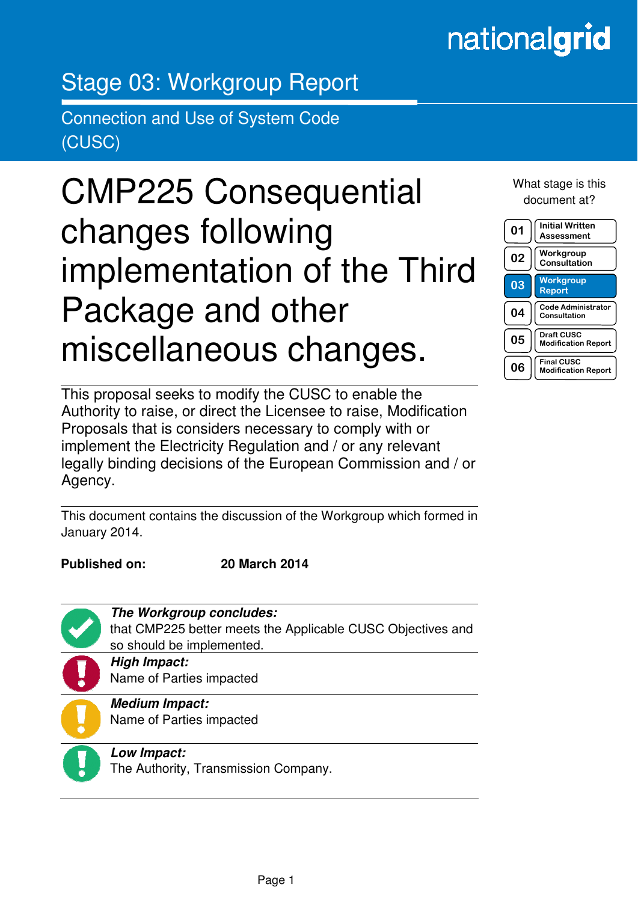## nationalgrid

## Stage 03: Workgroup Report

Connection and Use of System Code (CUSC)

# CMP225 Consequential changes following implementation of the Third Package and other miscellaneous changes.

This proposal seeks to modify the CUSC to enable the Authority to raise, or direct the Licensee to raise, Modification Proposals that is considers necessary to comply with or implement the Electricity Regulation and / or any relevant legally binding decisions of the European Commission and / or Agency.

This document contains the discussion of the Workgroup which formed in January 2014.

in the contract of the contract of the contract of the contract of the contract of the contract of the contract of the contract of the contract of the contract of the contract of the contract of the contract of the contrac

**Published on: 20 March 2014** 

**The Workgroup concludes:**  that CMP225 better meets the Applicable CUSC Objectives and so should be implemented. **High Impact:**  Name of Parties impacted

**Medium Impact:**  Name of Parties impacted

**Low Impact:**  The Authority, Transmission Company. What stage is this document at?

| 01 | <b>Initial Written</b><br>Assessment            |
|----|-------------------------------------------------|
| 02 | Workgroup<br>Consultation                       |
| 03 | <b>Workgroup</b><br>Report                      |
| 04 | <b>Code Administrator</b><br>Consultation       |
| 05 | <b>Draft CUSC</b><br><b>Modification Report</b> |
| 06 | <b>Final CUSC</b><br><b>Modification Report</b> |

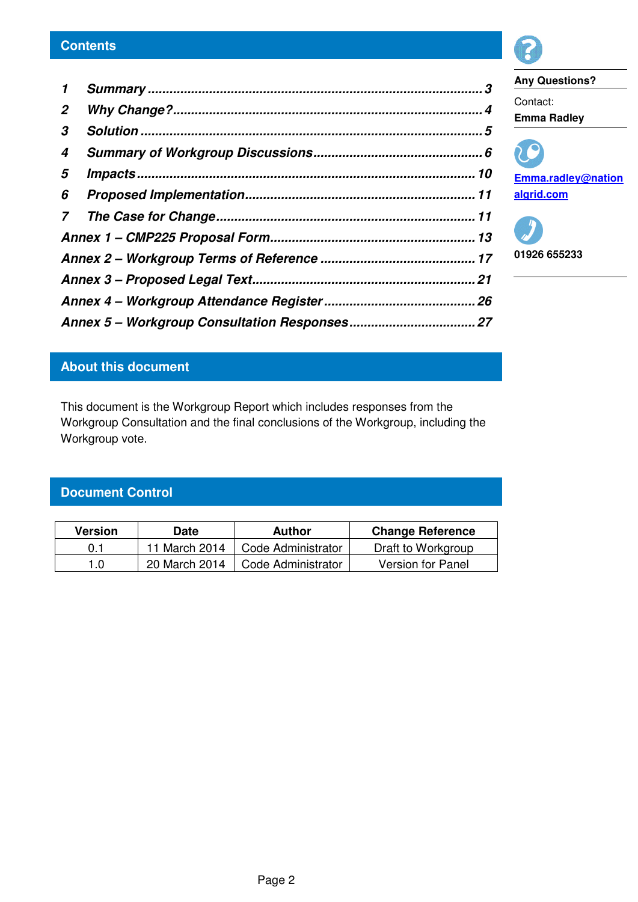| $\mathbf{1}$          |  |
|-----------------------|--|
| $\mathbf{2}^{\prime}$ |  |
| 3                     |  |
| 4                     |  |
| 5                     |  |
|                       |  |
|                       |  |
|                       |  |
|                       |  |
|                       |  |
|                       |  |
|                       |  |



**Any Questions?**  Contact: **Emma Radley**

**Emma.radley@nation algrid.com** 

**01926 655233** 

### **About this document**

This document is the Workgroup Report which includes responses from the Workgroup Consultation and the final conclusions of the Workgroup, including the Workgroup vote.

### **Document Control**

| <b>Version</b><br>Date |               | Author             | <b>Change Reference</b> |  |
|------------------------|---------------|--------------------|-------------------------|--|
| 0.1                    | 11 March 2014 | Code Administrator | Draft to Workgroup      |  |
| 1.0                    | 20 March 2014 | Code Administrator | Version for Panel       |  |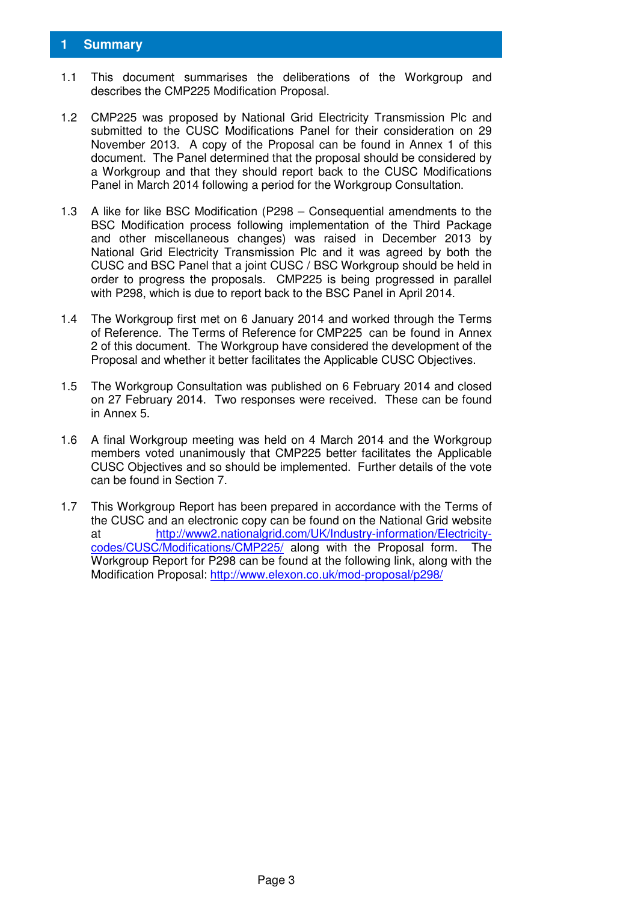#### **1 Summary**

- 1.1 This document summarises the deliberations of the Workgroup and describes the CMP225 Modification Proposal.
- 1.2 CMP225 was proposed by National Grid Electricity Transmission Plc and submitted to the CUSC Modifications Panel for their consideration on 29 November 2013. A copy of the Proposal can be found in Annex 1 of this document. The Panel determined that the proposal should be considered by a Workgroup and that they should report back to the CUSC Modifications Panel in March 2014 following a period for the Workgroup Consultation.
- 1.3 A like for like BSC Modification (P298 Consequential amendments to the BSC Modification process following implementation of the Third Package and other miscellaneous changes) was raised in December 2013 by National Grid Electricity Transmission Plc and it was agreed by both the CUSC and BSC Panel that a joint CUSC / BSC Workgroup should be held in order to progress the proposals. CMP225 is being progressed in parallel with P298, which is due to report back to the BSC Panel in April 2014.
- 1.4 The Workgroup first met on 6 January 2014 and worked through the Terms of Reference. The Terms of Reference for CMP225 can be found in Annex 2 of this document. The Workgroup have considered the development of the Proposal and whether it better facilitates the Applicable CUSC Objectives.
- 1.5 The Workgroup Consultation was published on 6 February 2014 and closed on 27 February 2014. Two responses were received. These can be found in Annex 5.
- 1.6 A final Workgroup meeting was held on 4 March 2014 and the Workgroup members voted unanimously that CMP225 better facilitates the Applicable CUSC Objectives and so should be implemented. Further details of the vote can be found in Section 7.
- 1.7 This Workgroup Report has been prepared in accordance with the Terms of the CUSC and an electronic copy can be found on the National Grid website at http://www2.nationalgrid.com/UK/Industry-information/Electricitycodes/CUSC/Modifications/CMP225/ along with the Proposal form. The Workgroup Report for P298 can be found at the following link, along with the Modification Proposal: http://www.elexon.co.uk/mod-proposal/p298/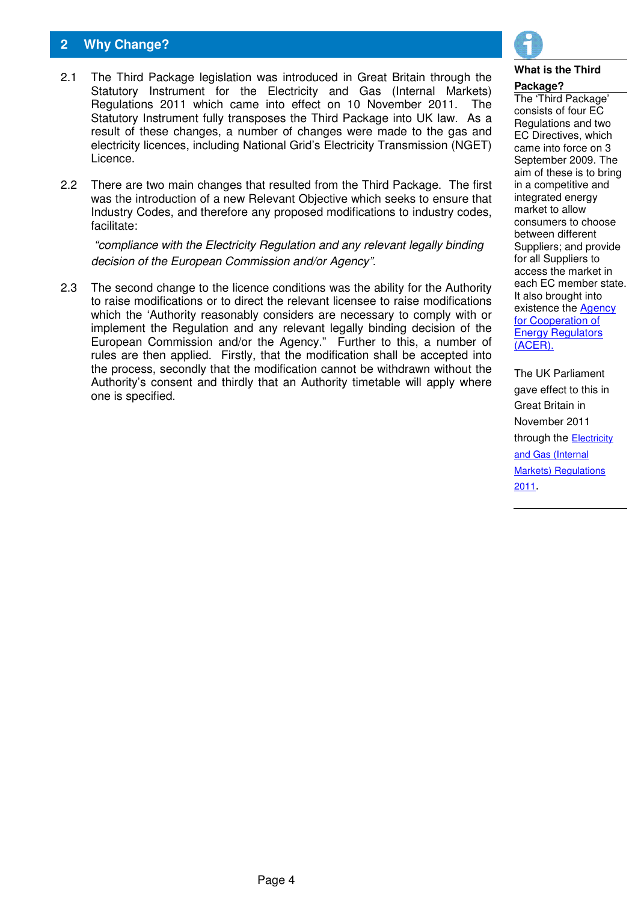#### **2 Why Change?**

- 2.1 The Third Package legislation was introduced in Great Britain through the Statutory Instrument for the Electricity and Gas (Internal Markets) Regulations 2011 which came into effect on 10 November 2011. The Statutory Instrument fully transposes the Third Package into UK law. As a result of these changes, a number of changes were made to the gas and electricity licences, including National Grid's Electricity Transmission (NGET) Licence.
- 2.2 There are two main changes that resulted from the Third Package. The first was the introduction of a new Relevant Objective which seeks to ensure that Industry Codes, and therefore any proposed modifications to industry codes, facilitate:

"compliance with the Electricity Regulation and any relevant legally binding decision of the European Commission and/or Agency".

2.3 The second change to the licence conditions was the ability for the Authority to raise modifications or to direct the relevant licensee to raise modifications which the 'Authority reasonably considers are necessary to comply with or implement the Regulation and any relevant legally binding decision of the European Commission and/or the Agency." Further to this, a number of rules are then applied. Firstly, that the modification shall be accepted into the process, secondly that the modification cannot be withdrawn without the Authority's consent and thirdly that an Authority timetable will apply where one is specified.



#### **What is the Third**

#### **Package?**

The 'Third Package' consists of four EC Regulations and two EC Directives, which came into force on 3 September 2009. The aim of these is to bring in a competitive and integrated energy market to allow consumers to choose between different Suppliers; and provide for all Suppliers to access the market in each EC member state. It also brought into existence the Agency for Cooperation of **Energy Regulators** (ACER).

The UK Parliament gave effect to this in Great Britain in November 2011 through the **Electricity** and Gas (Internal Markets) Regulations 2011.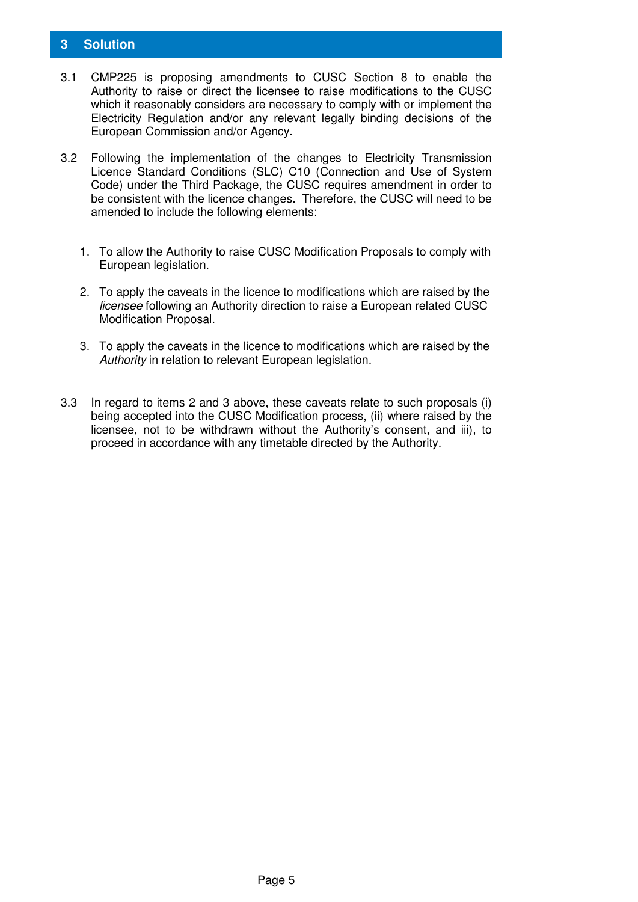#### **3 Solution**

- 3.1 CMP225 is proposing amendments to CUSC Section 8 to enable the Authority to raise or direct the licensee to raise modifications to the CUSC which it reasonably considers are necessary to comply with or implement the Electricity Regulation and/or any relevant legally binding decisions of the European Commission and/or Agency.
- 3.2 Following the implementation of the changes to Electricity Transmission Licence Standard Conditions (SLC) C10 (Connection and Use of System Code) under the Third Package, the CUSC requires amendment in order to be consistent with the licence changes. Therefore, the CUSC will need to be amended to include the following elements:
	- 1. To allow the Authority to raise CUSC Modification Proposals to comply with European legislation.
	- 2. To apply the caveats in the licence to modifications which are raised by the licensee following an Authority direction to raise a European related CUSC Modification Proposal.
	- 3. To apply the caveats in the licence to modifications which are raised by the Authority in relation to relevant European legislation.
- 3.3 In regard to items 2 and 3 above, these caveats relate to such proposals (i) being accepted into the CUSC Modification process, (ii) where raised by the licensee, not to be withdrawn without the Authority's consent, and iii), to proceed in accordance with any timetable directed by the Authority.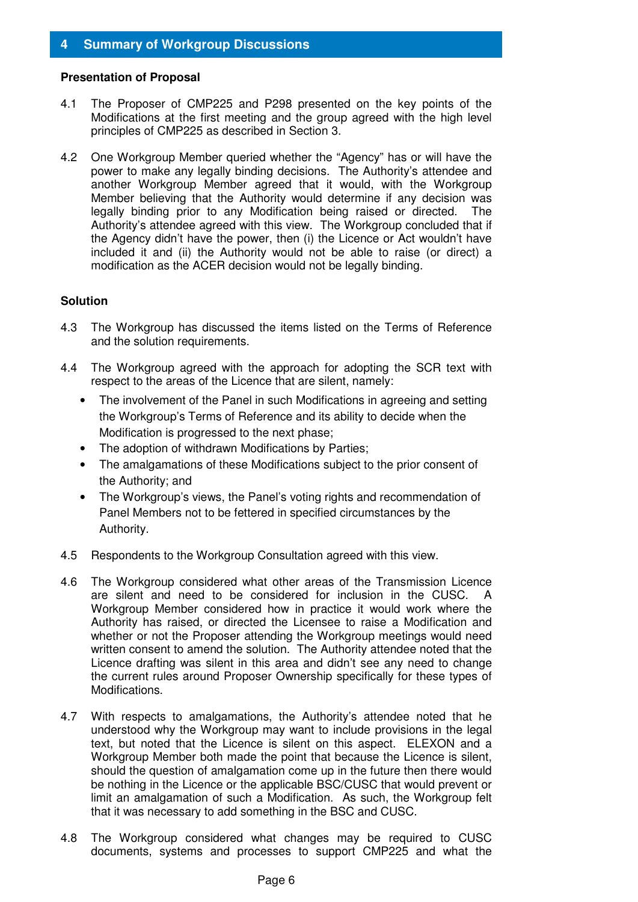#### **4 Summary of Workgroup Discussions**

#### **Presentation of Proposal**

- 4.1 The Proposer of CMP225 and P298 presented on the key points of the Modifications at the first meeting and the group agreed with the high level principles of CMP225 as described in Section 3.
- 4.2 One Workgroup Member queried whether the "Agency" has or will have the power to make any legally binding decisions. The Authority's attendee and another Workgroup Member agreed that it would, with the Workgroup Member believing that the Authority would determine if any decision was legally binding prior to any Modification being raised or directed. The Authority's attendee agreed with this view. The Workgroup concluded that if the Agency didn't have the power, then (i) the Licence or Act wouldn't have included it and (ii) the Authority would not be able to raise (or direct) a modification as the ACER decision would not be legally binding.

#### **Solution**

- 4.3 The Workgroup has discussed the items listed on the Terms of Reference and the solution requirements.
- 4.4 The Workgroup agreed with the approach for adopting the SCR text with respect to the areas of the Licence that are silent, namely:
	- The involvement of the Panel in such Modifications in agreeing and setting the Workgroup's Terms of Reference and its ability to decide when the Modification is progressed to the next phase;
	- The adoption of withdrawn Modifications by Parties;
	- The amalgamations of these Modifications subject to the prior consent of the Authority; and
	- The Workgroup's views, the Panel's voting rights and recommendation of Panel Members not to be fettered in specified circumstances by the Authority.
- 4.5 Respondents to the Workgroup Consultation agreed with this view.
- 4.6 The Workgroup considered what other areas of the Transmission Licence are silent and need to be considered for inclusion in the CUSC. A Workgroup Member considered how in practice it would work where the Authority has raised, or directed the Licensee to raise a Modification and whether or not the Proposer attending the Workgroup meetings would need written consent to amend the solution. The Authority attendee noted that the Licence drafting was silent in this area and didn't see any need to change the current rules around Proposer Ownership specifically for these types of Modifications.
- 4.7 With respects to amalgamations, the Authority's attendee noted that he understood why the Workgroup may want to include provisions in the legal text, but noted that the Licence is silent on this aspect. ELEXON and a Workgroup Member both made the point that because the Licence is silent. should the question of amalgamation come up in the future then there would be nothing in the Licence or the applicable BSC/CUSC that would prevent or limit an amalgamation of such a Modification. As such, the Workgroup felt that it was necessary to add something in the BSC and CUSC.
- 4.8 The Workgroup considered what changes may be required to CUSC documents, systems and processes to support CMP225 and what the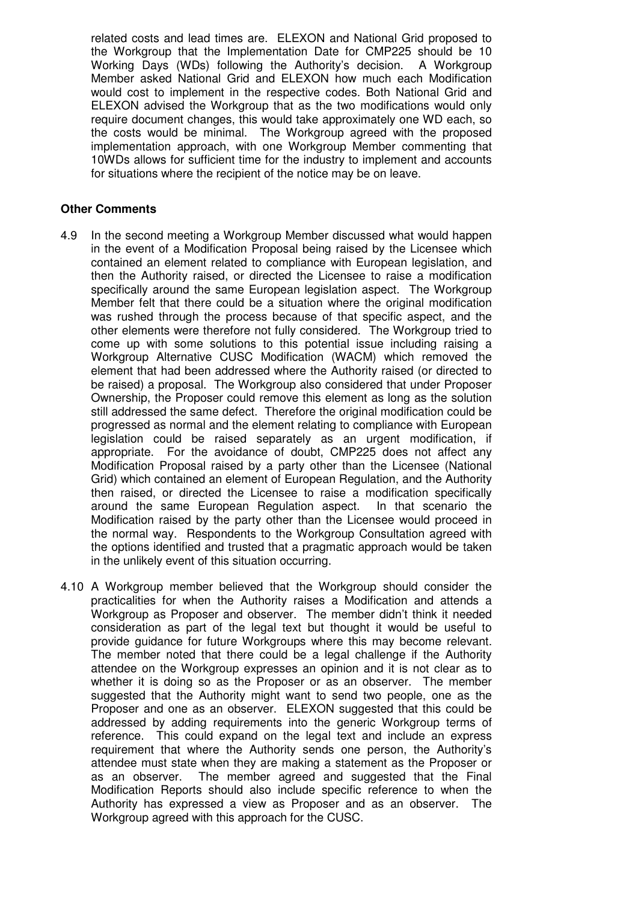related costs and lead times are. ELEXON and National Grid proposed to the Workgroup that the Implementation Date for CMP225 should be 10 Working Days (WDs) following the Authority's decision. A Workgroup Member asked National Grid and ELEXON how much each Modification would cost to implement in the respective codes. Both National Grid and ELEXON advised the Workgroup that as the two modifications would only require document changes, this would take approximately one WD each, so the costs would be minimal. The Workgroup agreed with the proposed implementation approach, with one Workgroup Member commenting that 10WDs allows for sufficient time for the industry to implement and accounts for situations where the recipient of the notice may be on leave.

#### **Other Comments**

- 4.9 In the second meeting a Workgroup Member discussed what would happen in the event of a Modification Proposal being raised by the Licensee which contained an element related to compliance with European legislation, and then the Authority raised, or directed the Licensee to raise a modification specifically around the same European legislation aspect. The Workgroup Member felt that there could be a situation where the original modification was rushed through the process because of that specific aspect, and the other elements were therefore not fully considered. The Workgroup tried to come up with some solutions to this potential issue including raising a Workgroup Alternative CUSC Modification (WACM) which removed the element that had been addressed where the Authority raised (or directed to be raised) a proposal. The Workgroup also considered that under Proposer Ownership, the Proposer could remove this element as long as the solution still addressed the same defect. Therefore the original modification could be progressed as normal and the element relating to compliance with European legislation could be raised separately as an urgent modification, if appropriate. For the avoidance of doubt, CMP225 does not affect any Modification Proposal raised by a party other than the Licensee (National Grid) which contained an element of European Regulation, and the Authority then raised, or directed the Licensee to raise a modification specifically around the same European Regulation aspect. In that scenario the Modification raised by the party other than the Licensee would proceed in the normal way. Respondents to the Workgroup Consultation agreed with the options identified and trusted that a pragmatic approach would be taken in the unlikely event of this situation occurring.
- 4.10 A Workgroup member believed that the Workgroup should consider the practicalities for when the Authority raises a Modification and attends a Workgroup as Proposer and observer. The member didn't think it needed consideration as part of the legal text but thought it would be useful to provide guidance for future Workgroups where this may become relevant. The member noted that there could be a legal challenge if the Authority attendee on the Workgroup expresses an opinion and it is not clear as to whether it is doing so as the Proposer or as an observer. The member suggested that the Authority might want to send two people, one as the Proposer and one as an observer. ELEXON suggested that this could be addressed by adding requirements into the generic Workgroup terms of reference. This could expand on the legal text and include an express requirement that where the Authority sends one person, the Authority's attendee must state when they are making a statement as the Proposer or as an observer. The member agreed and suggested that the Final Modification Reports should also include specific reference to when the Authority has expressed a view as Proposer and as an observer. The Workgroup agreed with this approach for the CUSC.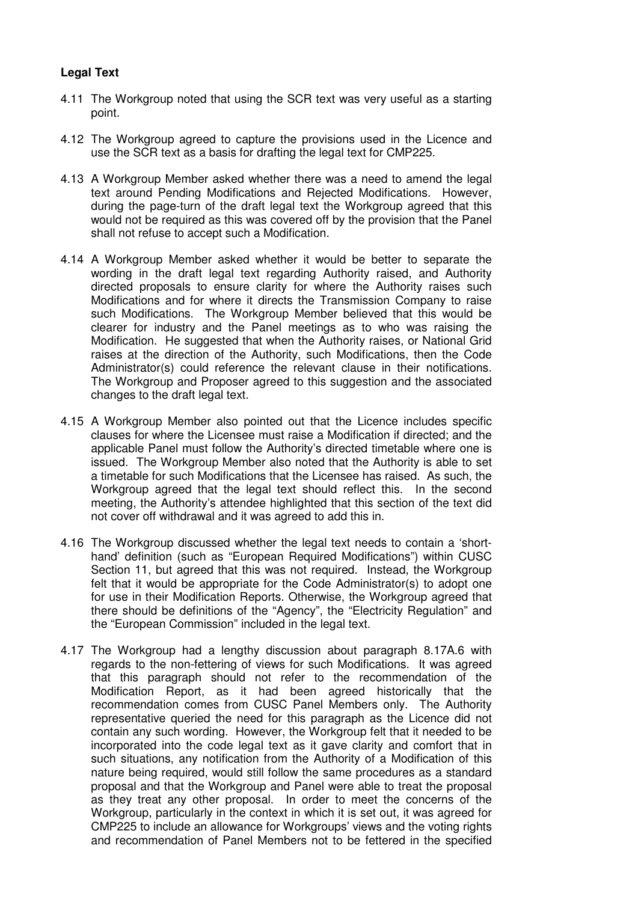#### **Legal Text**

- 4.11 The Workgroup noted that using the SCR text was very useful as a starting point.
- 4.12 The Workgroup agreed to capture the provisions used in the Licence and use the SCR text as a basis for drafting the legal text for CMP225.
- 4.13 A Workgroup Member asked whether there was a need to amend the legal text around Pending Modifications and Rejected Modifications. However, during the page-turn of the draft legal text the Workgroup agreed that this would not be required as this was covered off by the provision that the Panel shall not refuse to accept such a Modification.
- 4.14 A Workgroup Member asked whether it would be better to separate the wording in the draft legal text regarding Authority raised, and Authority directed proposals to ensure clarity for where the Authority raises such Modifications and for where it directs the Transmission Company to raise such Modifications. The Workgroup Member believed that this would be clearer for industry and the Panel meetings as to who was raising the Modification. He suggested that when the Authority raises, or National Grid raises at the direction of the Authority, such Modifications, then the Code Administrator(s) could reference the relevant clause in their notifications. The Workgroup and Proposer agreed to this suggestion and the associated changes to the draft legal text.
- 4.15 A Workgroup Member also pointed out that the Licence includes specific clauses for where the Licensee must raise a Modification if directed; and the applicable Panel must follow the Authority's directed timetable where one is issued. The Workgroup Member also noted that the Authority is able to set a timetable for such Modifications that the Licensee has raised. As such, the Workgroup agreed that the legal text should reflect this. In the second meeting, the Authority's attendee highlighted that this section of the text did not cover off withdrawal and it was agreed to add this in.
- 4.16 The Workgroup discussed whether the legal text needs to contain a 'shorthand' definition (such as "European Required Modifications") within CUSC Section 11, but agreed that this was not required. Instead, the Workgroup felt that it would be appropriate for the Code Administrator(s) to adopt one for use in their Modification Reports. Otherwise, the Workgroup agreed that there should be definitions of the "Agency", the "Electricity Regulation" and the "European Commission" included in the legal text.
- 4.17 The Workgroup had a lengthy discussion about paragraph 8.17A.6 with regards to the non-fettering of views for such Modifications. It was agreed that this paragraph should not refer to the recommendation of the Modification Report, as it had been agreed historically that the recommendation comes from CUSC Panel Members only. The Authority representative queried the need for this paragraph as the Licence did not contain any such wording. However, the Workgroup felt that it needed to be incorporated into the code legal text as it gave clarity and comfort that in such situations, any notification from the Authority of a Modification of this nature being required, would still follow the same procedures as a standard proposal and that the Workgroup and Panel were able to treat the proposal as they treat any other proposal. In order to meet the concerns of the Workgroup, particularly in the context in which it is set out, it was agreed for CMP225 to include an allowance for Workgroups' views and the voting rights and recommendation of Panel Members not to be fettered in the specified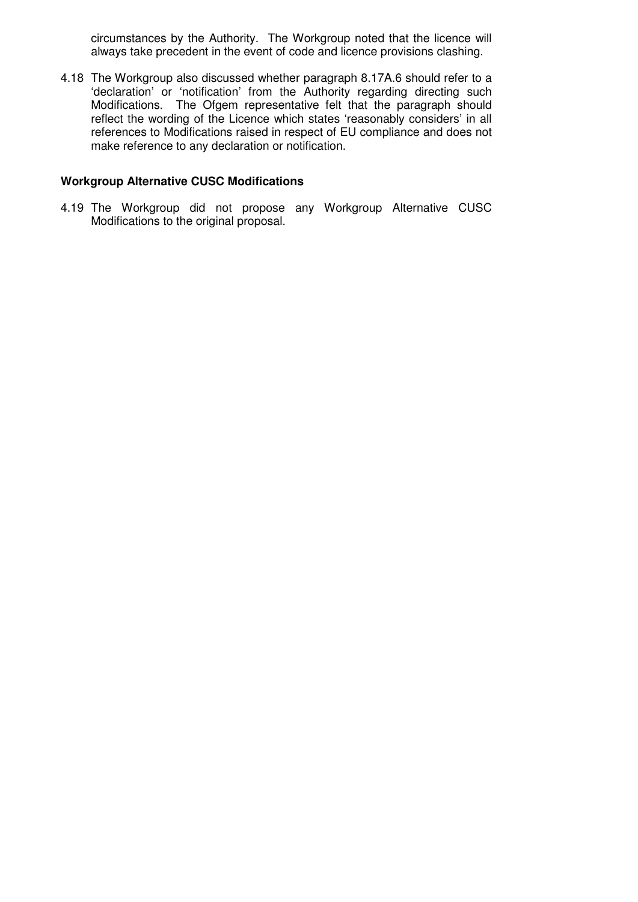circumstances by the Authority. The Workgroup noted that the licence will always take precedent in the event of code and licence provisions clashing.

4.18 The Workgroup also discussed whether paragraph 8.17A.6 should refer to a 'declaration' or 'notification' from the Authority regarding directing such Modifications. The Ofgem representative felt that the paragraph should reflect the wording of the Licence which states 'reasonably considers' in all references to Modifications raised in respect of EU compliance and does not make reference to any declaration or notification.

#### **Workgroup Alternative CUSC Modifications**

4.19 The Workgroup did not propose any Workgroup Alternative CUSC Modifications to the original proposal.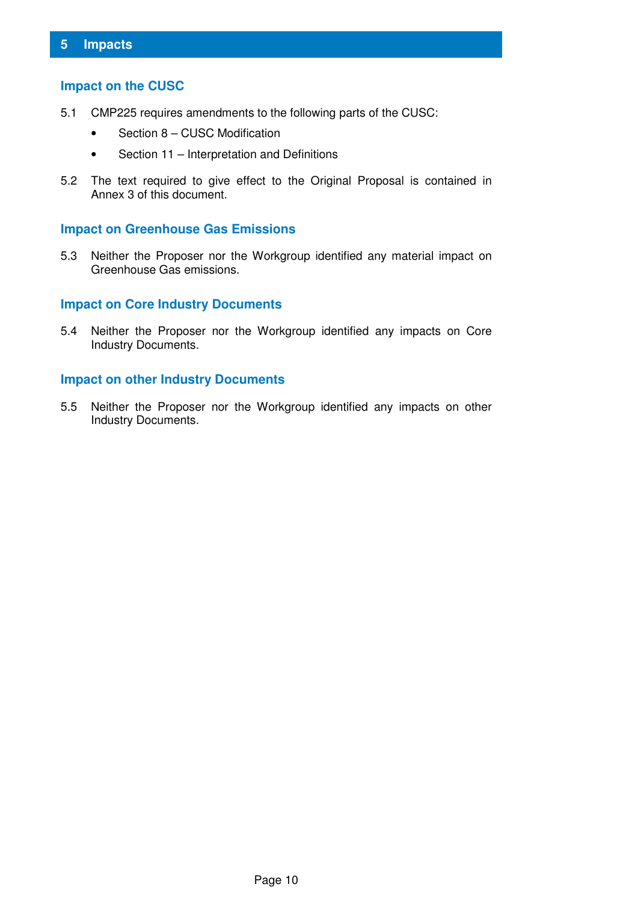#### **Impact on the CUSC**

- 5.1 CMP225 requires amendments to the following parts of the CUSC:
	- Section 8 CUSC Modification
	- Section 11 Interpretation and Definitions
- 5.2 The text required to give effect to the Original Proposal is contained in Annex 3 of this document.

#### **Impact on Greenhouse Gas Emissions**

5.3 Neither the Proposer nor the Workgroup identified any material impact on Greenhouse Gas emissions.

#### **Impact on Core Industry Documents**

5.4 Neither the Proposer nor the Workgroup identified any impacts on Core Industry Documents.

#### **Impact on other Industry Documents**

5.5 Neither the Proposer nor the Workgroup identified any impacts on other Industry Documents.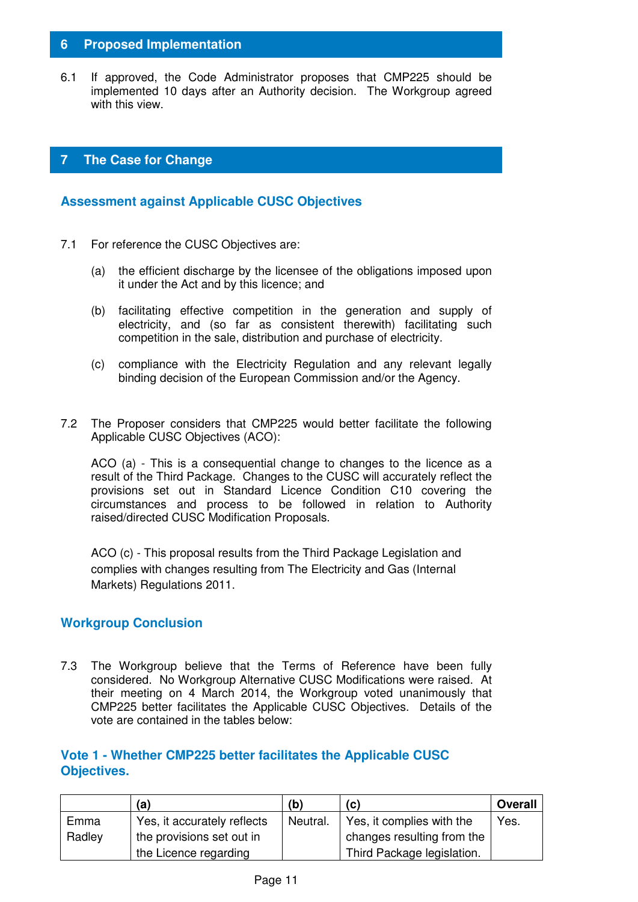#### **6 Proposed Implementation**

6.1 If approved, the Code Administrator proposes that CMP225 should be implemented 10 days after an Authority decision. The Workgroup agreed with this view.

#### **7 The Case for Change**

#### **Assessment against Applicable CUSC Objectives**

- 7.1 For reference the CUSC Objectives are:
	- (a) the efficient discharge by the licensee of the obligations imposed upon it under the Act and by this licence; and
	- (b) facilitating effective competition in the generation and supply of electricity, and (so far as consistent therewith) facilitating such competition in the sale, distribution and purchase of electricity.
	- (c) compliance with the Electricity Regulation and any relevant legally binding decision of the European Commission and/or the Agency.
- 7.2 The Proposer considers that CMP225 would better facilitate the following Applicable CUSC Objectives (ACO):

ACO (a) - This is a consequential change to changes to the licence as a result of the Third Package. Changes to the CUSC will accurately reflect the provisions set out in Standard Licence Condition C10 covering the circumstances and process to be followed in relation to Authority raised/directed CUSC Modification Proposals.

ACO (c) - This proposal results from the Third Package Legislation and complies with changes resulting from The Electricity and Gas (Internal Markets) Regulations 2011.

#### **Workgroup Conclusion**

7.3 The Workgroup believe that the Terms of Reference have been fully considered. No Workgroup Alternative CUSC Modifications were raised. At their meeting on 4 March 2014, the Workgroup voted unanimously that CMP225 better facilitates the Applicable CUSC Objectives. Details of the vote are contained in the tables below:

#### **Vote 1 - Whether CMP225 better facilitates the Applicable CUSC Objectives.**

|        | (a)                         | (b)      | (c)                        | <b>Overall</b> |
|--------|-----------------------------|----------|----------------------------|----------------|
| Emma   | Yes, it accurately reflects | Neutral. | Yes, it complies with the  | Yes.           |
| Radley | the provisions set out in   |          | changes resulting from the |                |
|        | the Licence regarding       |          | Third Package legislation. |                |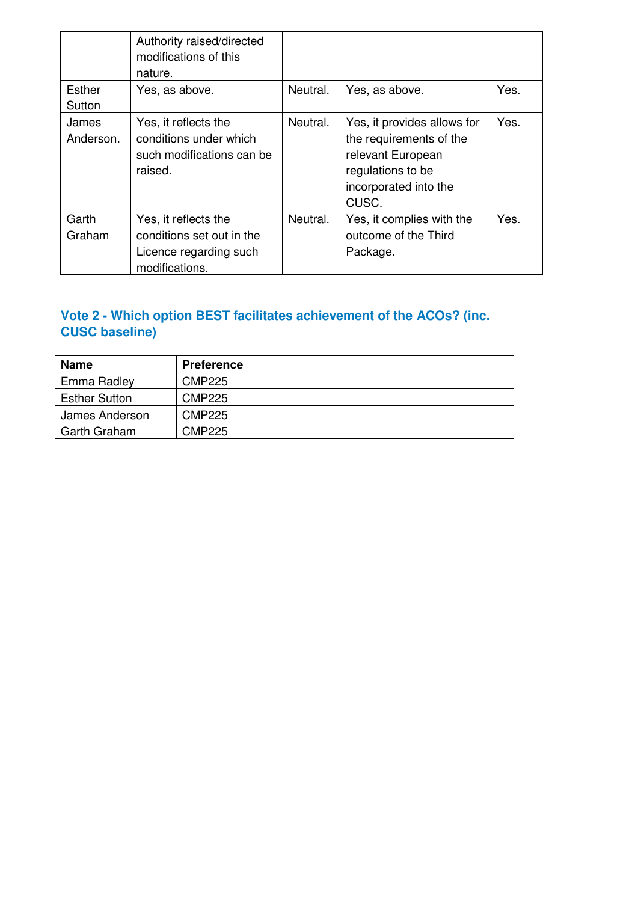|                    | Authority raised/directed<br>modifications of this<br>nature.                                 |          |                                                                                                                                    |      |
|--------------------|-----------------------------------------------------------------------------------------------|----------|------------------------------------------------------------------------------------------------------------------------------------|------|
| Esther<br>Sutton   | Yes, as above.                                                                                | Neutral. | Yes, as above.                                                                                                                     | Yes. |
| James<br>Anderson. | Yes, it reflects the<br>conditions under which<br>such modifications can be<br>raised.        | Neutral. | Yes, it provides allows for<br>the requirements of the<br>relevant European<br>regulations to be<br>incorporated into the<br>CUSC. | Yes. |
| Garth<br>Graham    | Yes, it reflects the<br>conditions set out in the<br>Licence regarding such<br>modifications. | Neutral. | Yes, it complies with the<br>outcome of the Third<br>Package.                                                                      | Yes. |

## **Vote 2 - Which option BEST facilitates achievement of the ACOs? (inc. CUSC baseline)**

| <b>Name</b>          | <b>Preference</b> |
|----------------------|-------------------|
| Emma Radley          | <b>CMP225</b>     |
| <b>Esther Sutton</b> | <b>CMP225</b>     |
| James Anderson       | <b>CMP225</b>     |
| <b>Garth Graham</b>  | <b>CMP225</b>     |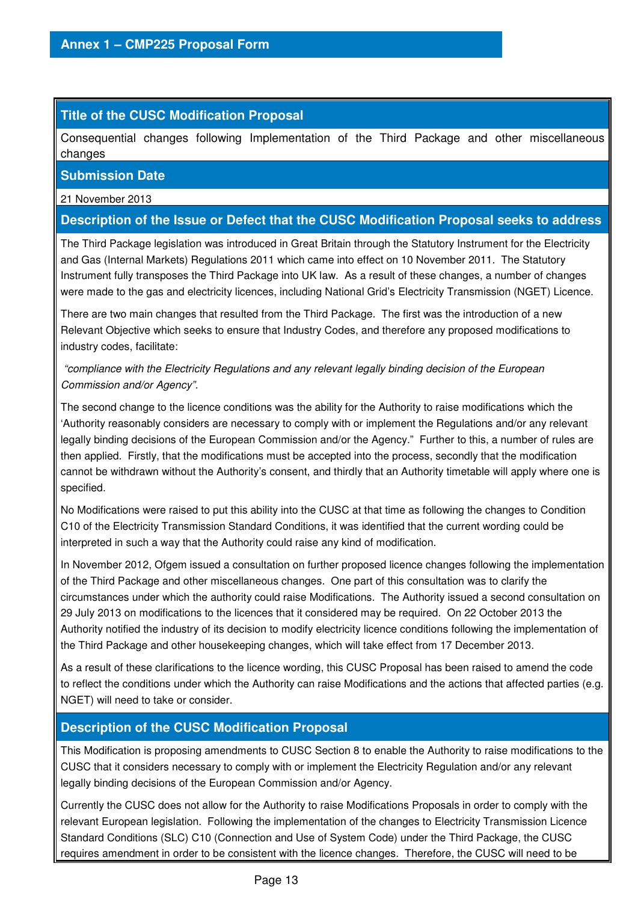#### **Title of the CUSC Modification Proposal**

Consequential changes following Implementation of the Third Package and other miscellaneous changes

#### **Submission Date**

21 November 2013

#### **Description of the Issue or Defect that the CUSC Modification Proposal seeks to address**

The Third Package legislation was introduced in Great Britain through the Statutory Instrument for the Electricity and Gas (Internal Markets) Regulations 2011 which came into effect on 10 November 2011. The Statutory Instrument fully transposes the Third Package into UK law. As a result of these changes, a number of changes were made to the gas and electricity licences, including National Grid's Electricity Transmission (NGET) Licence.

There are two main changes that resulted from the Third Package. The first was the introduction of a new Relevant Objective which seeks to ensure that Industry Codes, and therefore any proposed modifications to industry codes, facilitate:

#### "compliance with the Electricity Regulations and any relevant legally binding decision of the European Commission and/or Agency".

The second change to the licence conditions was the ability for the Authority to raise modifications which the 'Authority reasonably considers are necessary to comply with or implement the Regulations and/or any relevant legally binding decisions of the European Commission and/or the Agency." Further to this, a number of rules are then applied. Firstly, that the modifications must be accepted into the process, secondly that the modification cannot be withdrawn without the Authority's consent, and thirdly that an Authority timetable will apply where one is specified.

No Modifications were raised to put this ability into the CUSC at that time as following the changes to Condition C10 of the Electricity Transmission Standard Conditions, it was identified that the current wording could be interpreted in such a way that the Authority could raise any kind of modification.

In November 2012, Ofgem issued a consultation on further proposed licence changes following the implementation of the Third Package and other miscellaneous changes. One part of this consultation was to clarify the circumstances under which the authority could raise Modifications. The Authority issued a second consultation on 29 July 2013 on modifications to the licences that it considered may be required. On 22 October 2013 the Authority notified the industry of its decision to modify electricity licence conditions following the implementation of the Third Package and other housekeeping changes, which will take effect from 17 December 2013.

As a result of these clarifications to the licence wording, this CUSC Proposal has been raised to amend the code to reflect the conditions under which the Authority can raise Modifications and the actions that affected parties (e.g. NGET) will need to take or consider.

#### **Description of the CUSC Modification Proposal**

This Modification is proposing amendments to CUSC Section 8 to enable the Authority to raise modifications to the CUSC that it considers necessary to comply with or implement the Electricity Regulation and/or any relevant legally binding decisions of the European Commission and/or Agency.

Currently the CUSC does not allow for the Authority to raise Modifications Proposals in order to comply with the relevant European legislation. Following the implementation of the changes to Electricity Transmission Licence Standard Conditions (SLC) C10 (Connection and Use of System Code) under the Third Package, the CUSC requires amendment in order to be consistent with the licence changes. Therefore, the CUSC will need to be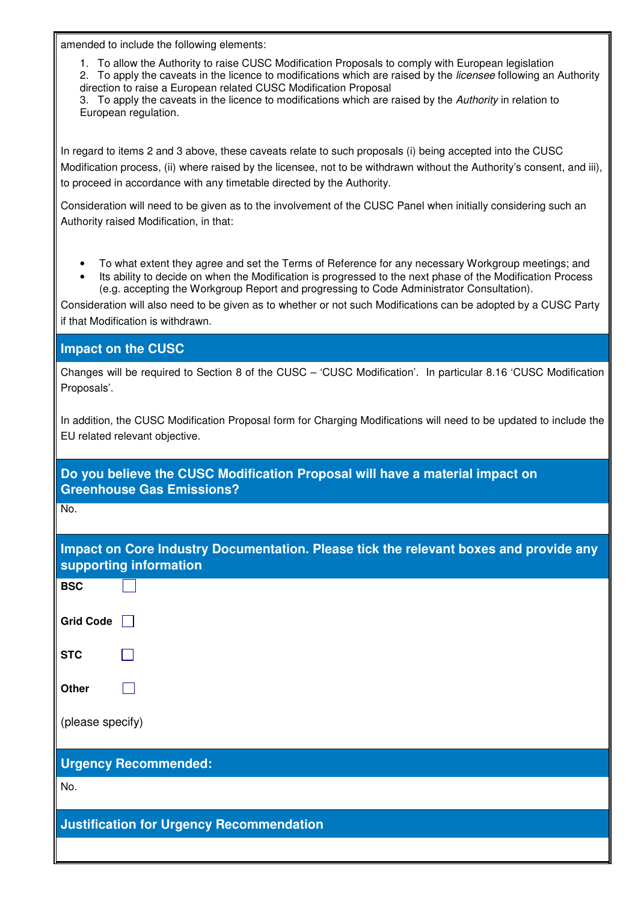amended to include the following elements:

1. To allow the Authority to raise CUSC Modification Proposals to comply with European legislation

2. To apply the caveats in the licence to modifications which are raised by the *licensee* following an Authority direction to raise a European related CUSC Modification Proposal

3. To apply the caveats in the licence to modifications which are raised by the Authority in relation to European regulation.

In regard to items 2 and 3 above, these caveats relate to such proposals (i) being accepted into the CUSC Modification process, (ii) where raised by the licensee, not to be withdrawn without the Authority's consent, and iii), to proceed in accordance with any timetable directed by the Authority.

Consideration will need to be given as to the involvement of the CUSC Panel when initially considering such an Authority raised Modification, in that:

- To what extent they agree and set the Terms of Reference for any necessary Workgroup meetings; and
- Its ability to decide on when the Modification is progressed to the next phase of the Modification Process (e.g. accepting the Workgroup Report and progressing to Code Administrator Consultation).

Consideration will also need to be given as to whether or not such Modifications can be adopted by a CUSC Party if that Modification is withdrawn.

**Impact on the CUSC** 

Changes will be required to Section 8 of the CUSC – 'CUSC Modification'. In particular 8.16 'CUSC Modification Proposals'.

In addition, the CUSC Modification Proposal form for Charging Modifications will need to be updated to include the EU related relevant objective.

**Do you believe the CUSC Modification Proposal will have a material impact on Greenhouse Gas Emissions?** 

No.

| Impact on Core Industry Documentation. Please tick the relevant boxes and provide any<br>supporting information |
|-----------------------------------------------------------------------------------------------------------------|
| <b>DCC</b>                                                                                                      |

| <b>BSC</b>                                      |                             |  |  |
|-------------------------------------------------|-----------------------------|--|--|
| <b>Grid Code</b>                                |                             |  |  |
| <b>STC</b>                                      |                             |  |  |
| Other                                           |                             |  |  |
| (please specify)                                |                             |  |  |
|                                                 | <b>Urgency Recommended:</b> |  |  |
| No.                                             |                             |  |  |
| <b>Justification for Urgency Recommendation</b> |                             |  |  |
|                                                 |                             |  |  |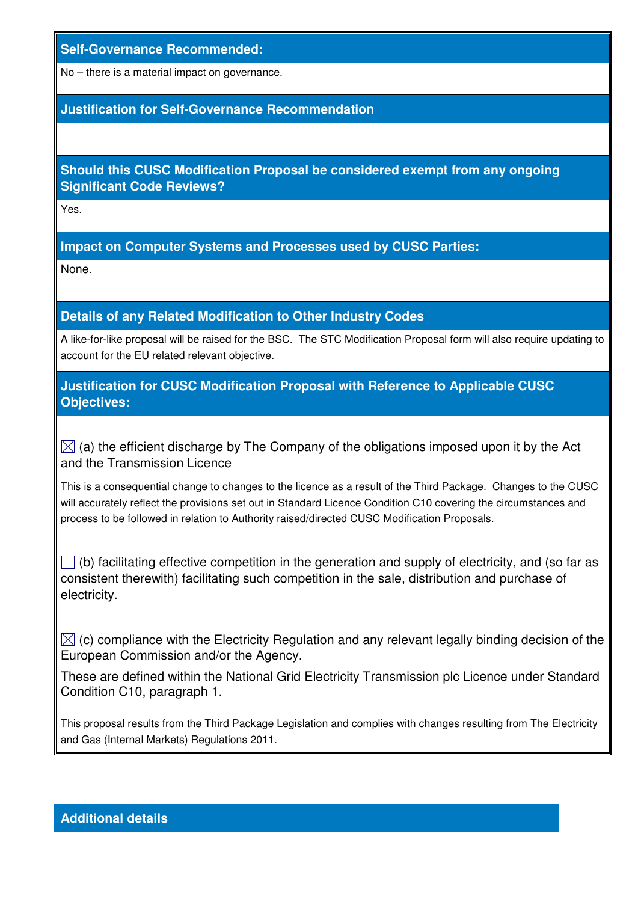#### **Self-Governance Recommended:**

No – there is a material impact on governance.

#### **Justification for Self-Governance Recommendation**

#### **Should this CUSC Modification Proposal be considered exempt from any ongoing Significant Code Reviews?**

Yes.

#### **Impact on Computer Systems and Processes used by CUSC Parties:**

None.

#### **Details of any Related Modification to Other Industry Codes**

A like-for-like proposal will be raised for the BSC. The STC Modification Proposal form will also require updating to account for the EU related relevant objective.

#### **Justification for CUSC Modification Proposal with Reference to Applicable CUSC Objectives:**

 $\boxtimes$  (a) the efficient discharge by The Company of the obligations imposed upon it by the Act and the Transmission Licence

This is a consequential change to changes to the licence as a result of the Third Package. Changes to the CUSC will accurately reflect the provisions set out in Standard Licence Condition C10 covering the circumstances and process to be followed in relation to Authority raised/directed CUSC Modification Proposals.

 $\Box$  (b) facilitating effective competition in the generation and supply of electricity, and (so far as consistent therewith) facilitating such competition in the sale, distribution and purchase of electricity.

 $\boxtimes$  (c) compliance with the Electricity Regulation and any relevant legally binding decision of the European Commission and/or the Agency.

These are defined within the National Grid Electricity Transmission plc Licence under Standard Condition C10, paragraph 1.

This proposal results from the Third Package Legislation and complies with changes resulting from The Electricity and Gas (Internal Markets) Regulations 2011.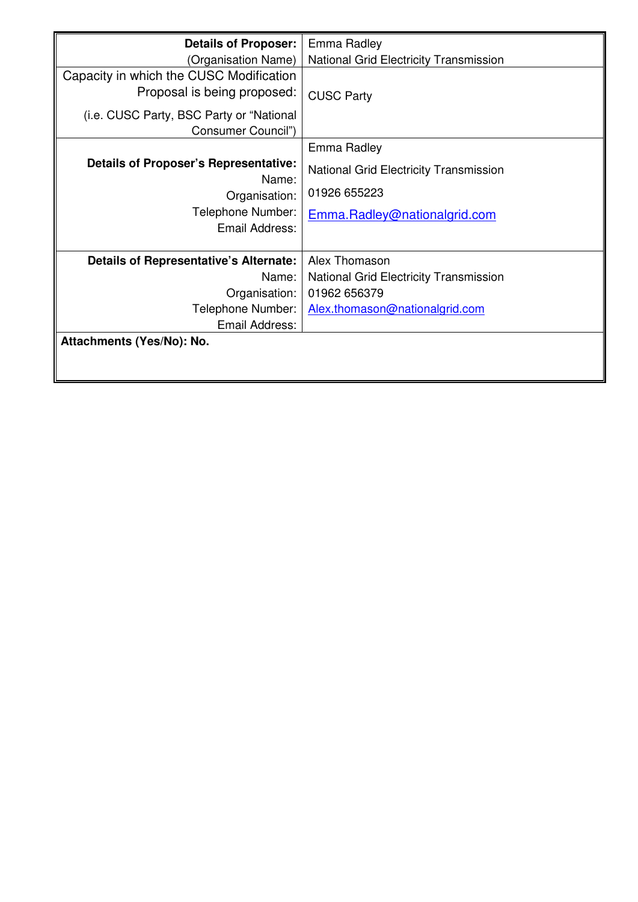| <b>Details of Proposer:</b>                           | Emma Radley                                   |
|-------------------------------------------------------|-----------------------------------------------|
| (Organisation Name)                                   | National Grid Electricity Transmission        |
| Capacity in which the CUSC Modification               |                                               |
| Proposal is being proposed:                           | <b>CUSC Party</b>                             |
| (i.e. CUSC Party, BSC Party or "National              |                                               |
| Consumer Council")                                    |                                               |
|                                                       | Emma Radley                                   |
| <b>Details of Proposer's Representative:</b><br>Name: | <b>National Grid Electricity Transmission</b> |
| Organisation:                                         | 01926 655223                                  |
| Telephone Number:                                     | Emma.Radley@nationalgrid.com                  |
| Email Address:                                        |                                               |
| <b>Details of Representative's Alternate:</b>         | Alex Thomason                                 |
| Name:                                                 | <b>National Grid Electricity Transmission</b> |
| Organisation:                                         | 01962 656379                                  |
| Telephone Number:                                     | Alex.thomason@nationalgrid.com                |
| Email Address:                                        |                                               |
| Attachments (Yes/No): No.                             |                                               |
|                                                       |                                               |
|                                                       |                                               |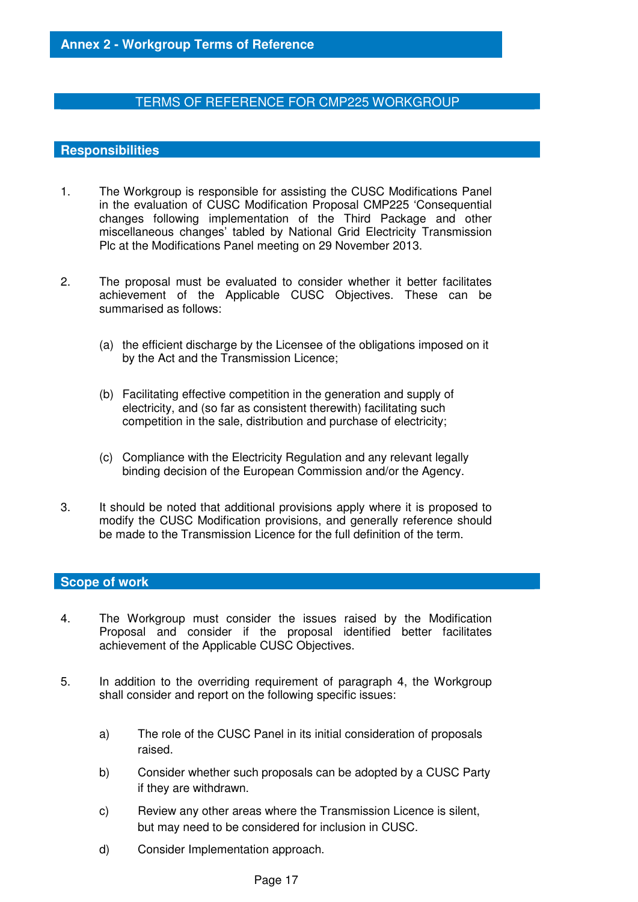#### TERMS OF REFERENCE FOR CMP225 WORKGROUP

#### **Responsibilities**

- 1. The Workgroup is responsible for assisting the CUSC Modifications Panel in the evaluation of CUSC Modification Proposal CMP225 'Consequential changes following implementation of the Third Package and other miscellaneous changes' tabled by National Grid Electricity Transmission Plc at the Modifications Panel meeting on 29 November 2013.
- 2. The proposal must be evaluated to consider whether it better facilitates achievement of the Applicable CUSC Objectives. These can be summarised as follows:
	- (a) the efficient discharge by the Licensee of the obligations imposed on it by the Act and the Transmission Licence;
	- (b) Facilitating effective competition in the generation and supply of electricity, and (so far as consistent therewith) facilitating such competition in the sale, distribution and purchase of electricity;
	- (c) Compliance with the Electricity Regulation and any relevant legally binding decision of the European Commission and/or the Agency.
- 3. It should be noted that additional provisions apply where it is proposed to modify the CUSC Modification provisions, and generally reference should be made to the Transmission Licence for the full definition of the term.

#### **Scope of work**

- 4. The Workgroup must consider the issues raised by the Modification Proposal and consider if the proposal identified better facilitates achievement of the Applicable CUSC Objectives.
- 5. In addition to the overriding requirement of paragraph 4, the Workgroup shall consider and report on the following specific issues:
	- a) The role of the CUSC Panel in its initial consideration of proposals raised.
	- b) Consider whether such proposals can be adopted by a CUSC Party if they are withdrawn.
	- c) Review any other areas where the Transmission Licence is silent, but may need to be considered for inclusion in CUSC.
	- d) Consider Implementation approach.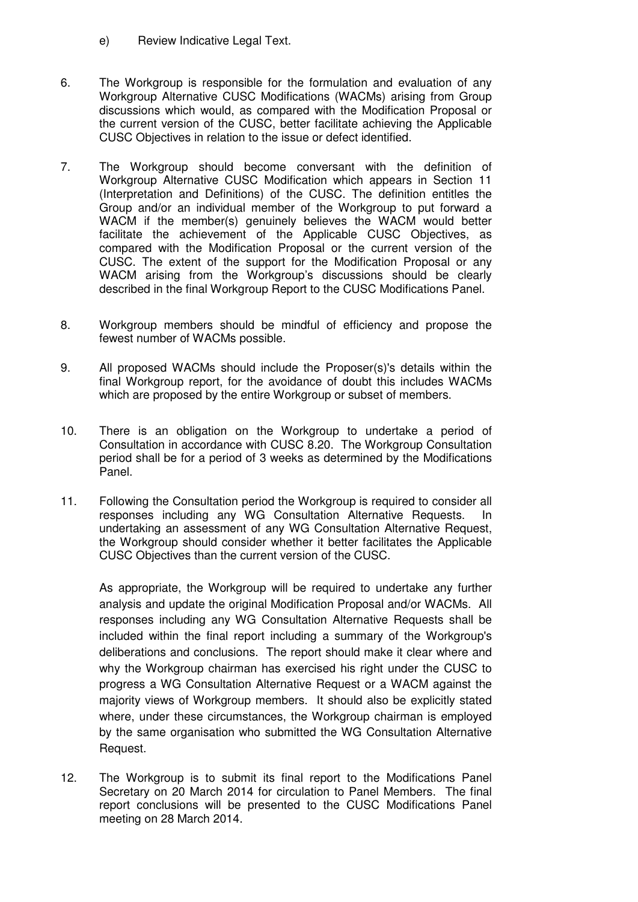- e) Review Indicative Legal Text.
- 6. The Workgroup is responsible for the formulation and evaluation of any Workgroup Alternative CUSC Modifications (WACMs) arising from Group discussions which would, as compared with the Modification Proposal or the current version of the CUSC, better facilitate achieving the Applicable CUSC Objectives in relation to the issue or defect identified.
- 7. The Workgroup should become conversant with the definition of Workgroup Alternative CUSC Modification which appears in Section 11 (Interpretation and Definitions) of the CUSC. The definition entitles the Group and/or an individual member of the Workgroup to put forward a WACM if the member(s) genuinely believes the WACM would better facilitate the achievement of the Applicable CUSC Objectives, as compared with the Modification Proposal or the current version of the CUSC. The extent of the support for the Modification Proposal or any WACM arising from the Workgroup's discussions should be clearly described in the final Workgroup Report to the CUSC Modifications Panel.
- 8. Workgroup members should be mindful of efficiency and propose the fewest number of WACMs possible.
- 9. All proposed WACMs should include the Proposer(s)'s details within the final Workgroup report, for the avoidance of doubt this includes WACMs which are proposed by the entire Workgroup or subset of members.
- 10. There is an obligation on the Workgroup to undertake a period of Consultation in accordance with CUSC 8.20. The Workgroup Consultation period shall be for a period of 3 weeks as determined by the Modifications Panel.
- 11. Following the Consultation period the Workgroup is required to consider all responses including any WG Consultation Alternative Requests. In undertaking an assessment of any WG Consultation Alternative Request, the Workgroup should consider whether it better facilitates the Applicable CUSC Objectives than the current version of the CUSC.

As appropriate, the Workgroup will be required to undertake any further analysis and update the original Modification Proposal and/or WACMs. All responses including any WG Consultation Alternative Requests shall be included within the final report including a summary of the Workgroup's deliberations and conclusions. The report should make it clear where and why the Workgroup chairman has exercised his right under the CUSC to progress a WG Consultation Alternative Request or a WACM against the majority views of Workgroup members. It should also be explicitly stated where, under these circumstances, the Workgroup chairman is employed by the same organisation who submitted the WG Consultation Alternative Request.

12. The Workgroup is to submit its final report to the Modifications Panel Secretary on 20 March 2014 for circulation to Panel Members. The final report conclusions will be presented to the CUSC Modifications Panel meeting on 28 March 2014.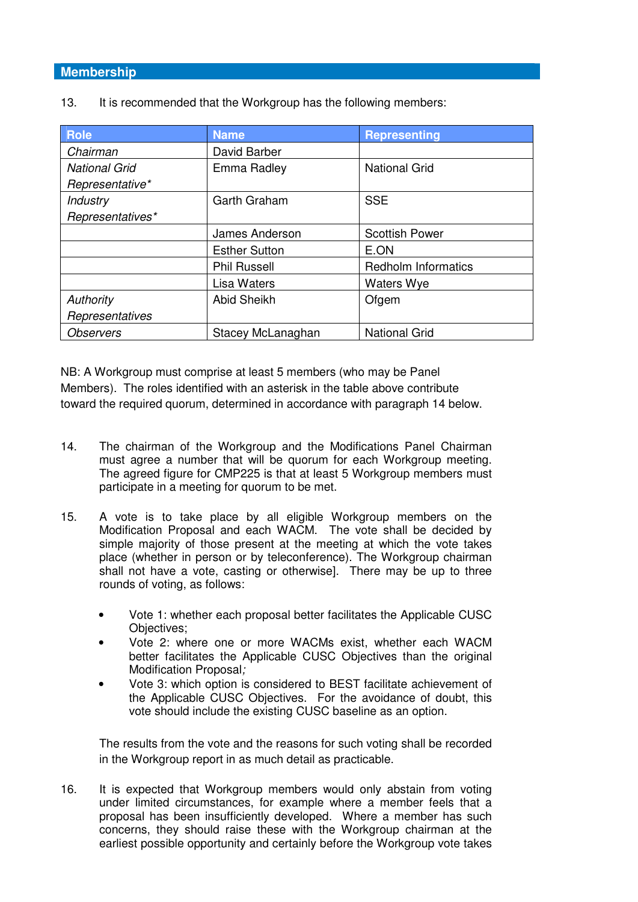#### **Membership**

| <b>Role</b>          | <b>Name</b>          | <b>Representing</b>        |
|----------------------|----------------------|----------------------------|
| Chairman             | David Barber         |                            |
| <b>National Grid</b> | Emma Radley          | <b>National Grid</b>       |
| Representative*      |                      |                            |
| Industry             | Garth Graham         | <b>SSE</b>                 |
| Representatives*     |                      |                            |
|                      | James Anderson       | <b>Scottish Power</b>      |
|                      | <b>Esther Sutton</b> | E.ON                       |
|                      | <b>Phil Russell</b>  | <b>Redholm Informatics</b> |
|                      | Lisa Waters          | <b>Waters Wye</b>          |
| Authority            | <b>Abid Sheikh</b>   | Ofgem                      |
| Representatives      |                      |                            |
| <b>Observers</b>     | Stacey McLanaghan    | <b>National Grid</b>       |

13. It is recommended that the Workgroup has the following members:

NB: A Workgroup must comprise at least 5 members (who may be Panel Members). The roles identified with an asterisk in the table above contribute toward the required quorum, determined in accordance with paragraph 14 below.

- 14. The chairman of the Workgroup and the Modifications Panel Chairman must agree a number that will be quorum for each Workgroup meeting. The agreed figure for CMP225 is that at least 5 Workgroup members must participate in a meeting for quorum to be met.
- 15. A vote is to take place by all eligible Workgroup members on the Modification Proposal and each WACM. The vote shall be decided by simple majority of those present at the meeting at which the vote takes place (whether in person or by teleconference). The Workgroup chairman shall not have a vote, casting or otherwise]. There may be up to three rounds of voting, as follows:
	- Vote 1: whether each proposal better facilitates the Applicable CUSC Objectives;
	- Vote 2: where one or more WACMs exist, whether each WACM better facilitates the Applicable CUSC Objectives than the original Modification Proposal;
	- Vote 3: which option is considered to BEST facilitate achievement of the Applicable CUSC Objectives. For the avoidance of doubt, this vote should include the existing CUSC baseline as an option.

The results from the vote and the reasons for such voting shall be recorded in the Workgroup report in as much detail as practicable.

16. It is expected that Workgroup members would only abstain from voting under limited circumstances, for example where a member feels that a proposal has been insufficiently developed. Where a member has such concerns, they should raise these with the Workgroup chairman at the earliest possible opportunity and certainly before the Workgroup vote takes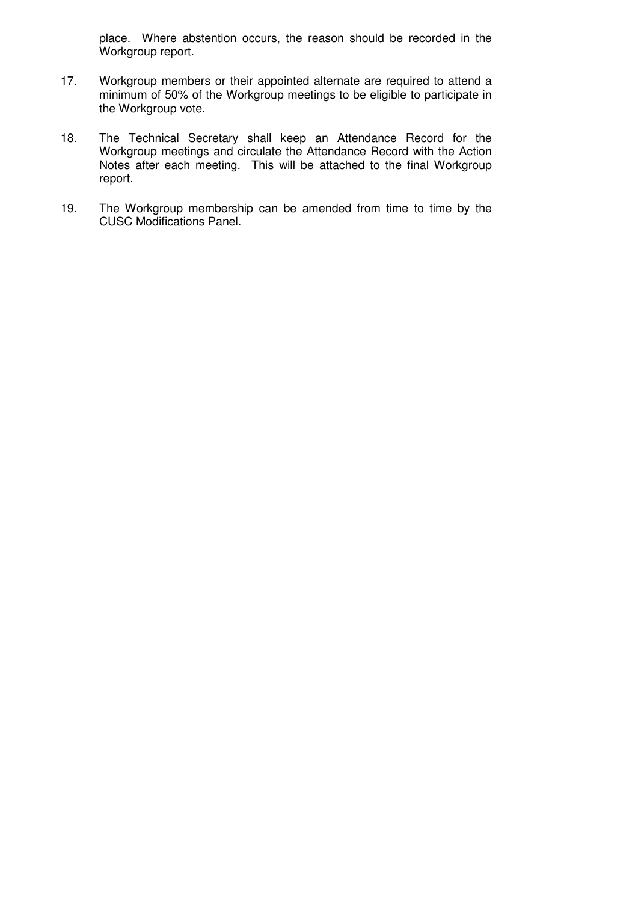place. Where abstention occurs, the reason should be recorded in the Workgroup report.

- 17. Workgroup members or their appointed alternate are required to attend a minimum of 50% of the Workgroup meetings to be eligible to participate in the Workgroup vote.
- 18. The Technical Secretary shall keep an Attendance Record for the Workgroup meetings and circulate the Attendance Record with the Action Notes after each meeting. This will be attached to the final Workgroup report.
- 19. The Workgroup membership can be amended from time to time by the CUSC Modifications Panel.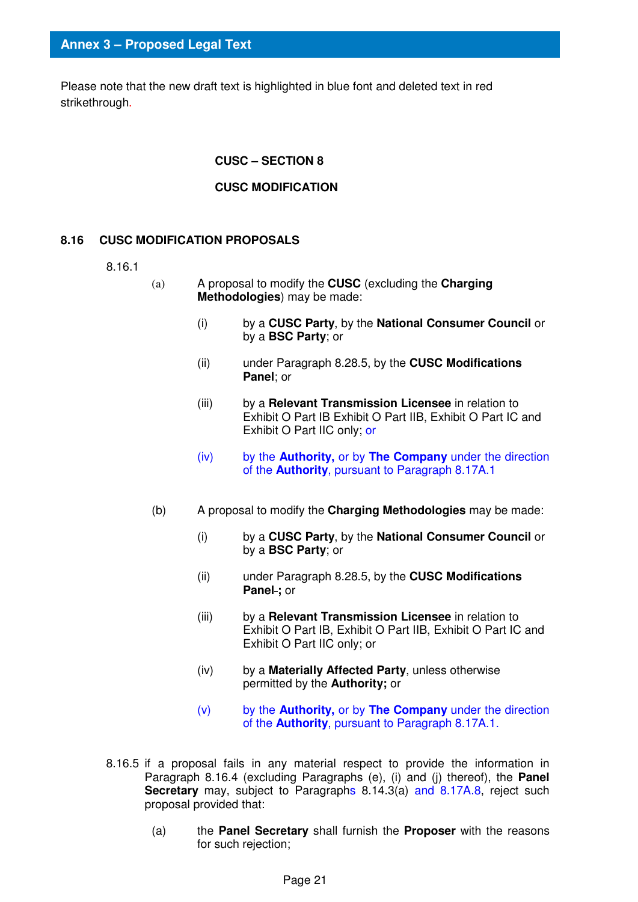Please note that the new draft text is highlighted in blue font and deleted text in red strikethrough.

#### **CUSC – SECTION 8**

#### **CUSC MODIFICATION**

#### **8.16 CUSC MODIFICATION PROPOSALS**

- 8.16.1
- (a) A proposal to modify the **CUSC** (excluding the **Charging Methodologies**) may be made:
	- (i) by a **CUSC Party**, by the **National Consumer Council** or by a **BSC Party**; or
	- (ii) under Paragraph 8.28.5, by the **CUSC Modifications Panel**; or
	- (iii) by a **Relevant Transmission Licensee** in relation to Exhibit O Part IB Exhibit O Part IIB, Exhibit O Part IC and Exhibit O Part IIC only; or
	- (iv) by the **Authority,** or by **The Company** under the direction of the **Authority**, pursuant to Paragraph 8.17A.1
- (b) A proposal to modify the **Charging Methodologies** may be made:
	- (i) by a **CUSC Party**, by the **National Consumer Council** or by a **BSC Party**; or
	- (ii) under Paragraph 8.28.5, by the **CUSC Modifications Panel ;** or
	- (iii) by a **Relevant Transmission Licensee** in relation to Exhibit O Part IB, Exhibit O Part IIB, Exhibit O Part IC and Exhibit O Part IIC only; or
	- (iv) by a **Materially Affected Party**, unless otherwise permitted by the **Authority;** or
	- (v) by the **Authority,** or by **The Company** under the direction of the **Authority**, pursuant to Paragraph 8.17A.1.
- 8.16.5 if a proposal fails in any material respect to provide the information in Paragraph 8.16.4 (excluding Paragraphs (e), (i) and (j) thereof), the **Panel Secretary** may, subject to Paragraphs 8.14.3(a) and 8.17A.8, reject such proposal provided that:
	- (a) the **Panel Secretary** shall furnish the **Proposer** with the reasons for such rejection;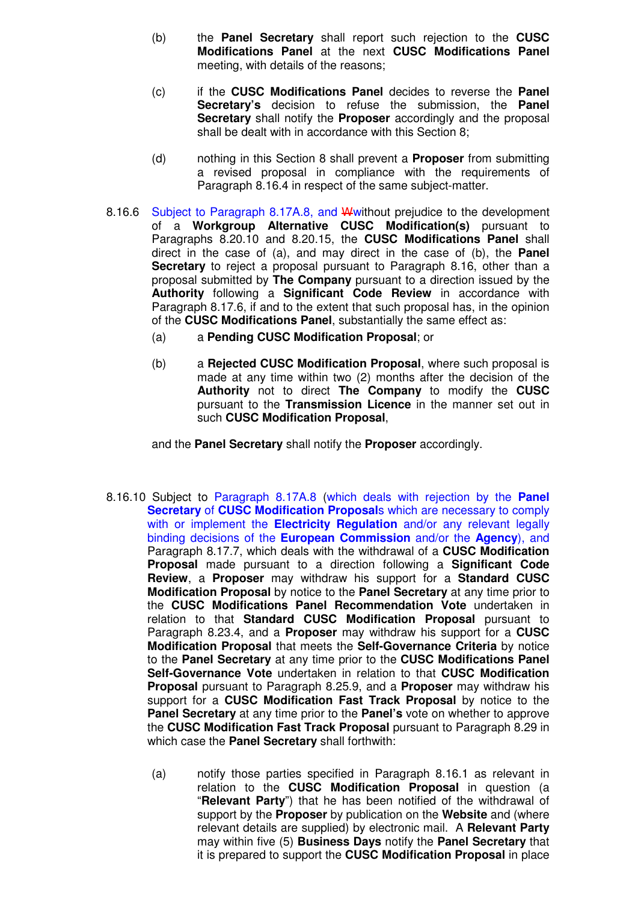- (b) the **Panel Secretary** shall report such rejection to the **CUSC Modifications Panel** at the next **CUSC Modifications Panel** meeting, with details of the reasons;
- (c) if the **CUSC Modifications Panel** decides to reverse the **Panel Secretary's** decision to refuse the submission, the **Panel Secretary** shall notify the **Proposer** accordingly and the proposal shall be dealt with in accordance with this Section 8;
- (d) nothing in this Section 8 shall prevent a **Proposer** from submitting a revised proposal in compliance with the requirements of Paragraph 8.16.4 in respect of the same subject-matter.
- 8.16.6 Subject to Paragraph 8.17A.8, and Wwithout prejudice to the development of a **Workgroup Alternative CUSC Modification(s)** pursuant to Paragraphs 8.20.10 and 8.20.15, the **CUSC Modifications Panel** shall direct in the case of (a), and may direct in the case of (b), the **Panel Secretary** to reject a proposal pursuant to Paragraph 8.16, other than a proposal submitted by **The Company** pursuant to a direction issued by the **Authority** following a **Significant Code Review** in accordance with Paragraph 8.17.6, if and to the extent that such proposal has, in the opinion of the **CUSC Modifications Panel**, substantially the same effect as:
	- (a) a **Pending CUSC Modification Proposal**; or
	- (b) a **Rejected CUSC Modification Proposal**, where such proposal is made at any time within two (2) months after the decision of the **Authority** not to direct **The Company** to modify the **CUSC** pursuant to the **Transmission Licence** in the manner set out in such **CUSC Modification Proposal**,

and the **Panel Secretary** shall notify the **Proposer** accordingly.

- 8.16.10 Subject to Paragraph 8.17A.8 (which deals with rejection by the **Panel Secretary** of **CUSC Modification Proposal**s which are necessary to comply with or implement the **Electricity Regulation** and/or any relevant legally binding decisions of the **European Commission** and/or the **Agency**), and Paragraph 8.17.7, which deals with the withdrawal of a **CUSC Modification Proposal** made pursuant to a direction following a **Significant Code Review**, a **Proposer** may withdraw his support for a **Standard CUSC Modification Proposal** by notice to the **Panel Secretary** at any time prior to the **CUSC Modifications Panel Recommendation Vote** undertaken in relation to that **Standard CUSC Modification Proposal** pursuant to Paragraph 8.23.4, and a **Proposer** may withdraw his support for a **CUSC Modification Proposal** that meets the **Self-Governance Criteria** by notice to the **Panel Secretary** at any time prior to the **CUSC Modifications Panel Self-Governance Vote** undertaken in relation to that **CUSC Modification Proposal** pursuant to Paragraph 8.25.9, and a **Proposer** may withdraw his support for a **CUSC Modification Fast Track Proposal** by notice to the **Panel Secretary** at any time prior to the **Panel's** vote on whether to approve the **CUSC Modification Fast Track Proposal** pursuant to Paragraph 8.29 in which case the **Panel Secretary** shall forthwith:
	- (a) notify those parties specified in Paragraph 8.16.1 as relevant in relation to the **CUSC Modification Proposal** in question (a "**Relevant Party**") that he has been notified of the withdrawal of support by the **Proposer** by publication on the **Website** and (where relevant details are supplied) by electronic mail. A **Relevant Party**  may within five (5) **Business Days** notify the **Panel Secretary** that it is prepared to support the **CUSC Modification Proposal** in place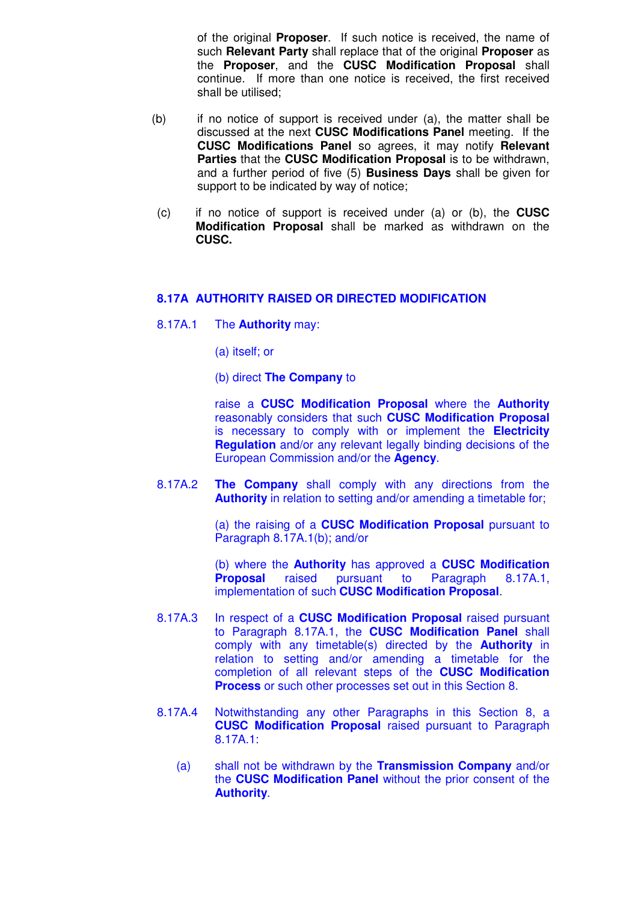of the original **Proposer**. If such notice is received, the name of such **Relevant Party** shall replace that of the original **Proposer** as the **Proposer**, and the **CUSC Modification Proposal** shall continue. If more than one notice is received, the first received shall be utilised;

- (b) if no notice of support is received under (a), the matter shall be discussed at the next **CUSC Modifications Panel** meeting. If the **CUSC Modifications Panel** so agrees, it may notify **Relevant Parties** that the **CUSC Modification Proposal** is to be withdrawn, and a further period of five (5) **Business Days** shall be given for support to be indicated by way of notice;
- (c) if no notice of support is received under (a) or (b), the **CUSC Modification Proposal** shall be marked as withdrawn on the **CUSC.**

#### **8.17A AUTHORITY RAISED OR DIRECTED MODIFICATION**

- 8.17A.1 The **Authority** may:
	- (a) itself; or
	- (b) direct **The Company** to

 raise a **CUSC Modification Proposal** where the **Authority** reasonably considers that such **CUSC Modification Proposal** is necessary to comply with or implement the **Electricity Regulation** and/or any relevant legally binding decisions of the European Commission and/or the **Agency**.

8.17A.2 **The Company** shall comply with any directions from the **Authority** in relation to setting and/or amending a timetable for;

> (a) the raising of a **CUSC Modification Proposal** pursuant to Paragraph 8.17A.1(b); and/or

> (b) where the **Authority** has approved a **CUSC Modification Proposal** raised pursuant to Paragraph 8.17A.1, implementation of such **CUSC Modification Proposal**.

- 8.17A.3 In respect of a **CUSC Modification Proposal** raised pursuant to Paragraph 8.17A.1, the **CUSC Modification Panel** shall comply with any timetable(s) directed by the **Authority** in relation to setting and/or amending a timetable for the completion of all relevant steps of the **CUSC Modification Process** or such other processes set out in this Section 8.
- 8.17A.4 Notwithstanding any other Paragraphs in this Section 8, a **CUSC Modification Proposal** raised pursuant to Paragraph 8.17A.1:
	- (a) shall not be withdrawn by the **Transmission Company** and/or the **CUSC Modification Panel** without the prior consent of the **Authority**.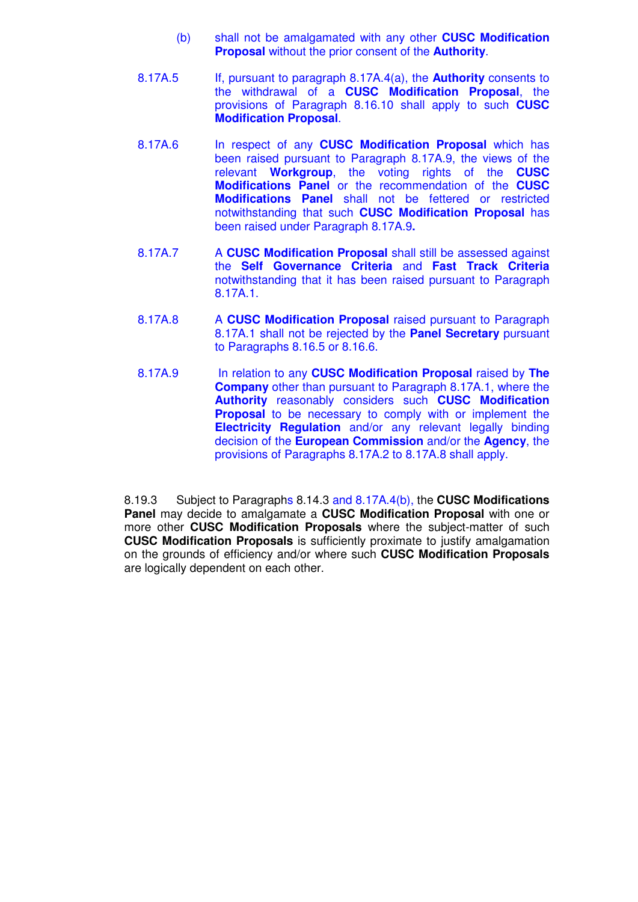- (b) shall not be amalgamated with any other **CUSC Modification Proposal** without the prior consent of the **Authority**.
- 8.17A.5 If, pursuant to paragraph 8.17A.4(a), the **Authority** consents to the withdrawal of a **CUSC Modification Proposal**, the provisions of Paragraph 8.16.10 shall apply to such **CUSC Modification Proposal**.
- 8.17A.6 In respect of any **CUSC Modification Proposal** which has been raised pursuant to Paragraph 8.17A.9, the views of the relevant **Workgroup**, the voting rights of the **CUSC Modifications Panel** or the recommendation of the **CUSC Modifications Panel** shall not be fettered or restricted notwithstanding that such **CUSC Modification Proposal** has been raised under Paragraph 8.17A.9**.**
- 8.17A.7 A **CUSC Modification Proposal** shall still be assessed against the **Self Governance Criteria** and **Fast Track Criteria**  notwithstanding that it has been raised pursuant to Paragraph 8.17A.1.
- 8.17A.8 A **CUSC Modification Proposal** raised pursuant to Paragraph 8.17A.1 shall not be rejected by the **Panel Secretary** pursuant to Paragraphs 8.16.5 or 8.16.6.
- 8.17A.9 In relation to any **CUSC Modification Proposal** raised by **The Company** other than pursuant to Paragraph 8.17A.1, where the **Authority** reasonably considers such **CUSC Modification Proposal** to be necessary to comply with or implement the **Electricity Regulation** and/or any relevant legally binding decision of the **European Commission** and/or the **Agency**, the provisions of Paragraphs 8.17A.2 to 8.17A.8 shall apply.

8.19.3 Subject to Paragraphs 8.14.3 and 8.17A.4(b), the **CUSC Modifications Panel** may decide to amalgamate a **CUSC Modification Proposal** with one or more other **CUSC Modification Proposals** where the subject-matter of such **CUSC Modification Proposals** is sufficiently proximate to justify amalgamation on the grounds of efficiency and/or where such **CUSC Modification Proposals** are logically dependent on each other.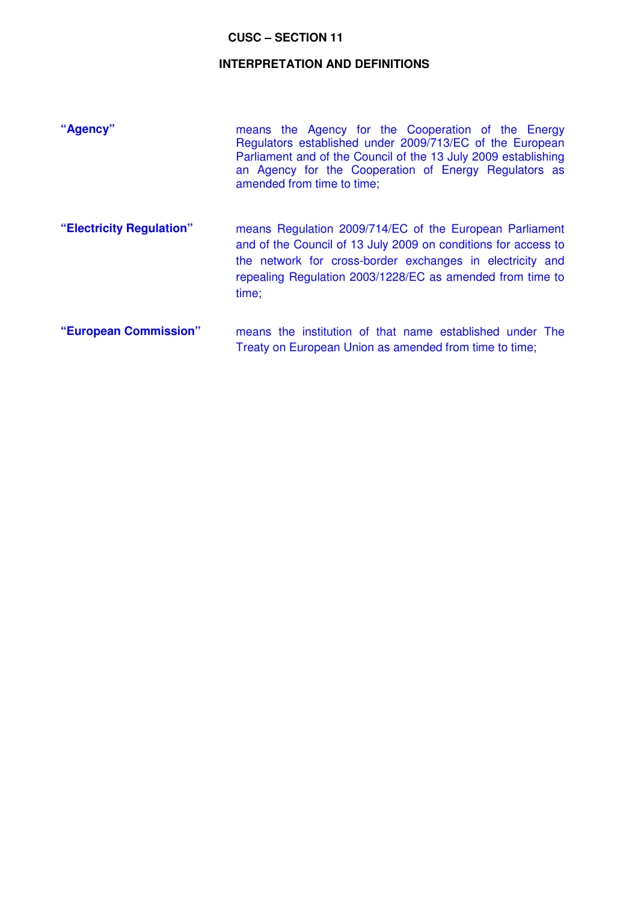#### **CUSC – SECTION 11**

#### **INTERPRETATION AND DEFINITIONS**

| "Agency"                 | means the Agency for the Cooperation of the Energy<br>Regulators established under 2009/713/EC of the European<br>Parliament and of the Council of the 13 July 2009 establishing<br>an Agency for the Cooperation of Energy Regulators as<br>amended from time to time; |
|--------------------------|-------------------------------------------------------------------------------------------------------------------------------------------------------------------------------------------------------------------------------------------------------------------------|
| "Electricity Regulation" | means Regulation 2009/714/EC of the European Parliament<br>and of the Council of 13 July 2009 on conditions for access to<br>the network for cross-border exchanges in electricity and<br>repealing Regulation 2003/1228/EC as amended from time to<br>time;            |
| "European Commission"    | means the institution of that name established under The<br>Treaty on European Union as amended from time to time;                                                                                                                                                      |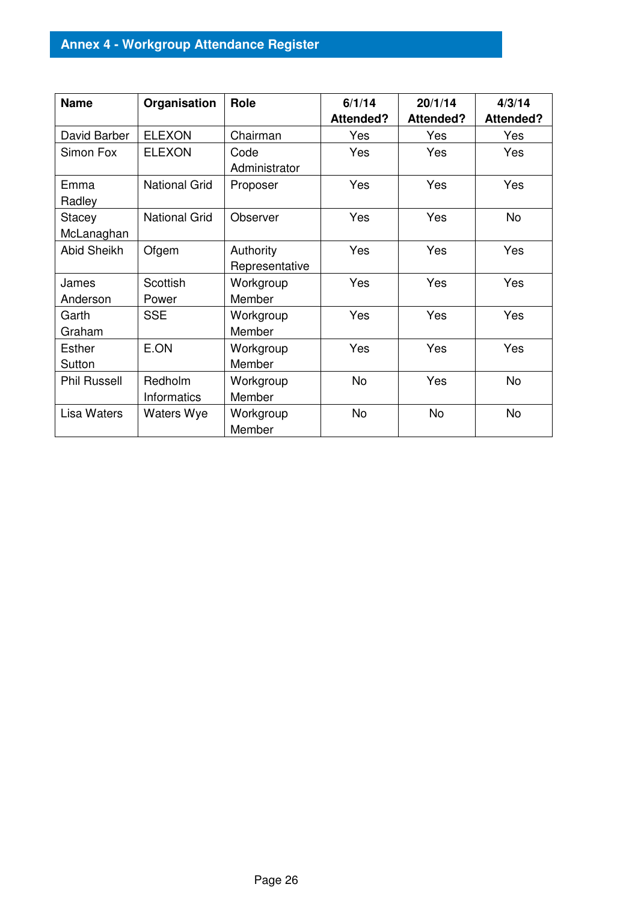## **Annex 4 - Workgroup Attendance Register**

| <b>Name</b>          | Organisation                  | Role                        | 6/1/14<br>Attended? | 20/1/14<br><b>Attended?</b> | 4/3/14<br><b>Attended?</b> |
|----------------------|-------------------------------|-----------------------------|---------------------|-----------------------------|----------------------------|
| David Barber         | <b>ELEXON</b>                 | Chairman                    | Yes                 | Yes                         | Yes                        |
| Simon Fox            | <b>ELEXON</b>                 | Code<br>Administrator       | Yes                 | Yes                         | Yes                        |
| Emma<br>Radley       | <b>National Grid</b>          | Proposer                    | Yes                 | Yes                         | Yes                        |
| Stacey<br>McLanaghan | <b>National Grid</b>          | Observer                    | Yes                 | Yes                         | <b>No</b>                  |
| <b>Abid Sheikh</b>   | Ofgem                         | Authority<br>Representative | Yes                 | Yes                         | Yes                        |
| James<br>Anderson    | Scottish<br>Power             | Workgroup<br>Member         | Yes                 | Yes                         | Yes                        |
| Garth<br>Graham      | <b>SSE</b>                    | Workgroup<br>Member         | Yes                 | Yes                         | Yes                        |
| Esther<br>Sutton     | E.ON                          | Workgroup<br>Member         | Yes                 | Yes                         | Yes                        |
| <b>Phil Russell</b>  | Redholm<br><b>Informatics</b> | Workgroup<br>Member         | <b>No</b>           | Yes                         | <b>No</b>                  |
| Lisa Waters          | <b>Waters Wye</b>             | Workgroup<br>Member         | No                  | <b>No</b>                   | <b>No</b>                  |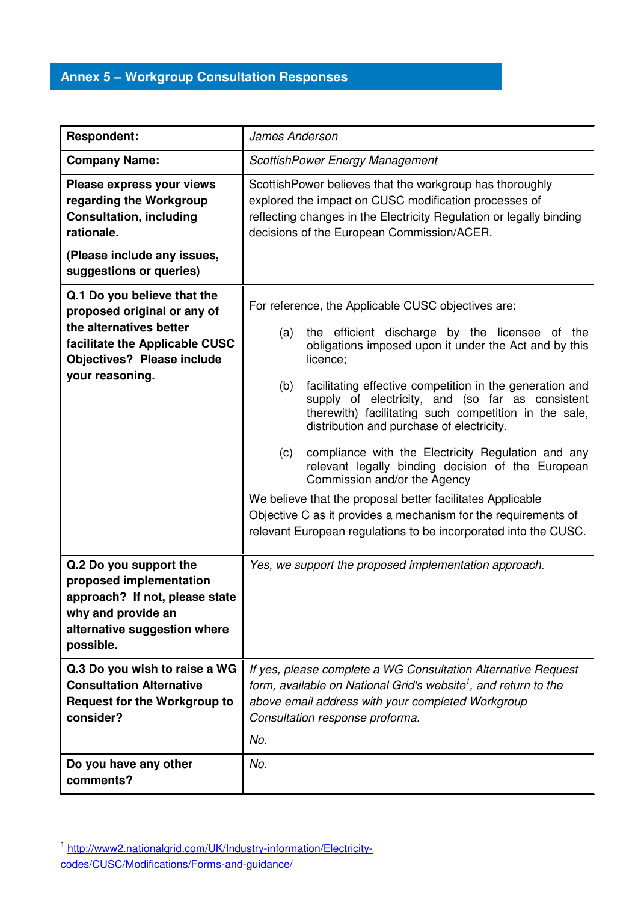## **Annex 5 – Workgroup Consultation Responses**

| <b>Respondent:</b>                                                                                                                                                                                                                                                             | James Anderson                                                                                                                                                                                                                                                                                                                                                                                                                                                                                                                                                                                                                                                                                                                                                     |  |
|--------------------------------------------------------------------------------------------------------------------------------------------------------------------------------------------------------------------------------------------------------------------------------|--------------------------------------------------------------------------------------------------------------------------------------------------------------------------------------------------------------------------------------------------------------------------------------------------------------------------------------------------------------------------------------------------------------------------------------------------------------------------------------------------------------------------------------------------------------------------------------------------------------------------------------------------------------------------------------------------------------------------------------------------------------------|--|
| <b>Company Name:</b>                                                                                                                                                                                                                                                           | ScottishPower Energy Management                                                                                                                                                                                                                                                                                                                                                                                                                                                                                                                                                                                                                                                                                                                                    |  |
| Please express your views<br>regarding the Workgroup<br><b>Consultation, including</b><br>rationale.<br>(Please include any issues,                                                                                                                                            | ScottishPower believes that the workgroup has thoroughly<br>explored the impact on CUSC modification processes of<br>reflecting changes in the Electricity Regulation or legally binding<br>decisions of the European Commission/ACER.                                                                                                                                                                                                                                                                                                                                                                                                                                                                                                                             |  |
| suggestions or queries)                                                                                                                                                                                                                                                        |                                                                                                                                                                                                                                                                                                                                                                                                                                                                                                                                                                                                                                                                                                                                                                    |  |
| Q.1 Do you believe that the<br>proposed original or any of<br>the alternatives better<br>facilitate the Applicable CUSC<br><b>Objectives? Please include</b><br>your reasoning.                                                                                                | For reference, the Applicable CUSC objectives are:<br>the efficient discharge by the licensee of the<br>(a)<br>obligations imposed upon it under the Act and by this<br>licence;<br>(b)<br>facilitating effective competition in the generation and<br>supply of electricity, and (so far as consistent<br>therewith) facilitating such competition in the sale,<br>distribution and purchase of electricity.<br>compliance with the Electricity Regulation and any<br>(c)<br>relevant legally binding decision of the European<br>Commission and/or the Agency<br>We believe that the proposal better facilitates Applicable<br>Objective C as it provides a mechanism for the requirements of<br>relevant European regulations to be incorporated into the CUSC. |  |
| Q.2 Do you support the<br>proposed implementation<br>approach? If not, please state<br>why and provide an<br>alternative suggestion where<br>possible.<br>Q.3 Do you wish to raise a WG<br><b>Consultation Alternative</b><br><b>Request for the Workgroup to</b><br>consider? | Yes, we support the proposed implementation approach.<br>If yes, please complete a WG Consultation Alternative Request<br>form, available on National Grid's website <sup>1</sup> , and return to the<br>above email address with your completed Workgroup<br>Consultation response proforma.<br>No.                                                                                                                                                                                                                                                                                                                                                                                                                                                               |  |
| Do you have any other<br>comments?                                                                                                                                                                                                                                             | No.                                                                                                                                                                                                                                                                                                                                                                                                                                                                                                                                                                                                                                                                                                                                                                |  |

-

<sup>1</sup> http://www2.nationalgrid.com/UK/Industry-information/Electricitycodes/CUSC/Modifications/Forms-and-guidance/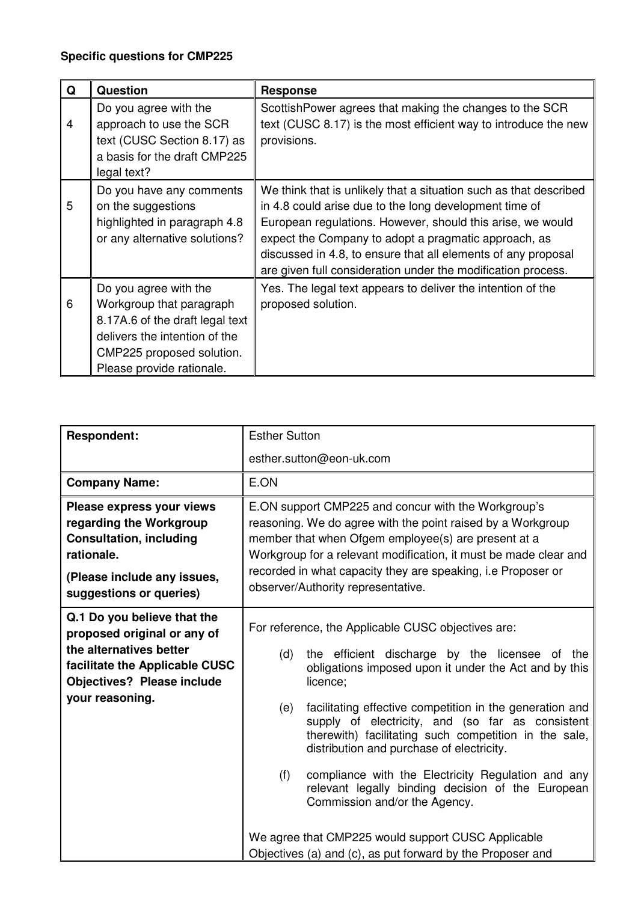## **Specific questions for CMP225**

| Q              | <b>Question</b>                                                                                                                                                                 | <b>Response</b>                                                                                                                                                                                                                                                                                                                                                                    |
|----------------|---------------------------------------------------------------------------------------------------------------------------------------------------------------------------------|------------------------------------------------------------------------------------------------------------------------------------------------------------------------------------------------------------------------------------------------------------------------------------------------------------------------------------------------------------------------------------|
| $\overline{4}$ | Do you agree with the<br>approach to use the SCR<br>text (CUSC Section 8.17) as<br>a basis for the draft CMP225<br>legal text?                                                  | Scottish Power agrees that making the changes to the SCR<br>text (CUSC 8.17) is the most efficient way to introduce the new<br>provisions.                                                                                                                                                                                                                                         |
| 5              | Do you have any comments<br>on the suggestions<br>highlighted in paragraph 4.8<br>or any alternative solutions?                                                                 | We think that is unlikely that a situation such as that described<br>in 4.8 could arise due to the long development time of<br>European regulations. However, should this arise, we would<br>expect the Company to adopt a pragmatic approach, as<br>discussed in 4.8, to ensure that all elements of any proposal<br>are given full consideration under the modification process. |
| 6              | Do you agree with the<br>Workgroup that paragraph<br>8.17A.6 of the draft legal text<br>delivers the intention of the<br>CMP225 proposed solution.<br>Please provide rationale. | Yes. The legal text appears to deliver the intention of the<br>proposed solution.                                                                                                                                                                                                                                                                                                  |

| <b>Respondent:</b>                                                                                                                                                              | <b>Esther Sutton</b>                                                                                                                                                                                                                                                                                                                                                                                                                                                                                                                                                                                                                                                                 |
|---------------------------------------------------------------------------------------------------------------------------------------------------------------------------------|--------------------------------------------------------------------------------------------------------------------------------------------------------------------------------------------------------------------------------------------------------------------------------------------------------------------------------------------------------------------------------------------------------------------------------------------------------------------------------------------------------------------------------------------------------------------------------------------------------------------------------------------------------------------------------------|
|                                                                                                                                                                                 | esther.sutton@eon-uk.com                                                                                                                                                                                                                                                                                                                                                                                                                                                                                                                                                                                                                                                             |
| <b>Company Name:</b>                                                                                                                                                            | E.ON                                                                                                                                                                                                                                                                                                                                                                                                                                                                                                                                                                                                                                                                                 |
| Please express your views<br>regarding the Workgroup<br><b>Consultation, including</b><br>rationale.<br>(Please include any issues,<br>suggestions or queries)                  | E.ON support CMP225 and concur with the Workgroup's<br>reasoning. We do agree with the point raised by a Workgroup<br>member that when Ofgem employee(s) are present at a<br>Workgroup for a relevant modification, it must be made clear and<br>recorded in what capacity they are speaking, i.e Proposer or<br>observer/Authority representative.                                                                                                                                                                                                                                                                                                                                  |
| Q.1 Do you believe that the<br>proposed original or any of<br>the alternatives better<br>facilitate the Applicable CUSC<br><b>Objectives? Please include</b><br>your reasoning. | For reference, the Applicable CUSC objectives are:<br>the efficient discharge by the licensee of the<br>(d)<br>obligations imposed upon it under the Act and by this<br>licence;<br>facilitating effective competition in the generation and<br>(e)<br>supply of electricity, and (so far as consistent<br>therewith) facilitating such competition in the sale,<br>distribution and purchase of electricity.<br>(f)<br>compliance with the Electricity Regulation and any<br>relevant legally binding decision of the European<br>Commission and/or the Agency.<br>We agree that CMP225 would support CUSC Applicable<br>Objectives (a) and (c), as put forward by the Proposer and |